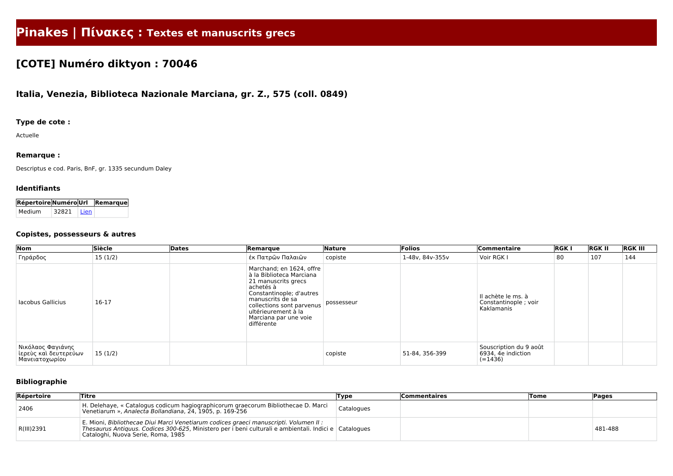# **Pinakes | Πίνακες : Textes et manuscrits grecs**

# **[COTE] Numéro diktyon : 70046**

# **Italia, Venezia, Biblioteca Nazionale Marciana, gr. Z., 575 (coll. 0849)**

**Répertoire Numéro Url Remarque** Medium 32821 [Lien](http://medium.irht.cnrs.fr/Manuscrits/Voir?idFicheManuscrit=32821)

### **Type de cote :**

Actuelle

#### **Remarque :**

Descriptus e cod. Paris, BnF, gr. 1335 secundum Daley

#### **Identifiants**

#### **Copistes, possesseurs & autres**

| Nom                                                          | Siècle  | Dates | Remarque                                                                                                                                                                                                                            | Nature     | Folios          | Commentaire                                               | <b>RGKI</b> | <b>RGK II</b> | <b>RGK III</b> |
|--------------------------------------------------------------|---------|-------|-------------------------------------------------------------------------------------------------------------------------------------------------------------------------------------------------------------------------------------|------------|-----------------|-----------------------------------------------------------|-------------|---------------|----------------|
| Γηράρδος                                                     | 15(1/2) |       | έκ Πατρῶν Παλαιῶν                                                                                                                                                                                                                   | copiste    | 1-48v, 84v-355v | Voir RGK I                                                | 80          | 107           | 144            |
| lacobus Gallicius                                            | 16-17   |       | Marchand; en 1624, offre<br>à la Biblioteca Marciana<br>21 manuscrits grecs<br>achetés à<br>Constantinople; d'autres<br>manuscrits de sa<br>collections sont parvenus<br>ultérieurement à la<br>Marciana par une voie<br>différente | possesseur |                 | Il achète le ms. à<br>Constantinople; voir<br>Kaklamanis  |             |               |                |
| Νικόλαος Φαγιάνης<br>ίερεὺς και δευτερεύων<br>Μανειατοχωρίου | 15(1/2) |       |                                                                                                                                                                                                                                     | copiste    | 51-84, 356-399  | Souscription du 9 août<br>6934, 4e indiction<br>$(-1436)$ |             |               |                |

## **Bibliographie**

| Répertoire | <b>Titre</b>                                                                                                                                                                                                                         | Type       | <b>Commentaires</b> | <b>Tome</b> | Pages   |
|------------|--------------------------------------------------------------------------------------------------------------------------------------------------------------------------------------------------------------------------------------|------------|---------------------|-------------|---------|
| 2406       | H. Delehaye, « Catalogus codicum hagiographicorum graecorum Bibliothecae D. Marci<br>Venetiarum », Analecta Bollandiana, 24, 1905, p. 169-256                                                                                        | Catalogues |                     |             |         |
| R(III)2391 | E. Mioni, Bibliothecae Diui Marci Venetiarum codices graeci manuscripti. Volumen II :<br>Thesaurus Antiguus. Codices 300-625, Ministero per i beni culturali e ambientali. Indici e Catalogues<br>Cataloghi, Nuova Serie, Roma, 1985 |            |                     |             | 481-488 |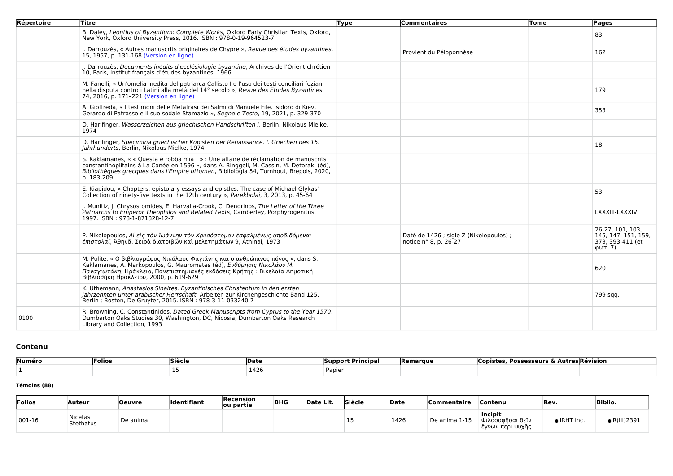| Répertoire | <b>Titre</b>                                                                                                                                                                                                                                                                             | <b>Type</b> | <b>Commentaires</b>                                              | Tome | Pages                                                                  |
|------------|------------------------------------------------------------------------------------------------------------------------------------------------------------------------------------------------------------------------------------------------------------------------------------------|-------------|------------------------------------------------------------------|------|------------------------------------------------------------------------|
|            | B. Daley, Leontius of Byzantium: Complete Works, Oxford Early Christian Texts, Oxford,<br>New York, Oxford University Press, 2016. ISBN: 978-0-19-964523-7                                                                                                                               |             |                                                                  |      | 83                                                                     |
|            | J. Darrouzès, « Autres manuscrits originaires de Chypre », Revue des études byzantines,<br>15, 1957, p. 131-168 (Version en ligne)                                                                                                                                                       |             | Provient du Péloponnèse                                          |      | 162                                                                    |
|            | J. Darrouzès, Documents inédits d'ecclésiologie byzantine, Archives de l'Orient chrétien<br>10, Paris, Institut français d'études byzantines, 1966                                                                                                                                       |             |                                                                  |      |                                                                        |
|            | M. Fanelli, « Un'omelia inedita del patriarca Callisto I e l'uso dei testi conciliari foziani<br>nella disputa contro i Latini alla metà del 14° secolo », Revue des Études Byzantines,<br>74, 2016, p. 171-221 (Version en ligne)                                                       |             |                                                                  |      | 179                                                                    |
|            | A. Gioffreda, « I testimoni delle Metafrasi dei Salmi di Manuele File. Isidoro di Kiev,<br>Gerardo di Patrasso e il suo sodale Stamazio », Segno e Testo, 19, 2021, p. 329-370                                                                                                           |             |                                                                  |      | 353                                                                    |
|            | D. Harlfinger, Wasserzeichen aus griechischen Handschriften I, Berlin, Nikolaus Mielke,<br>1974                                                                                                                                                                                          |             |                                                                  |      |                                                                        |
|            | D. Harlfinger, Specimina griechischer Kopisten der Renaissance. I. Griechen des 15.<br>Jahrhunderts, Berlin, Nikolaus Mielke, 1974                                                                                                                                                       |             |                                                                  |      | 18                                                                     |
|            | S. Kaklamanes, « « Questa è robba mia ! » : Une affaire de réclamation de manuscrits<br>constantinoplitains à La Canée en 1596 », dans A. Binggeli, M. Cassin, M. Detoraki (éd),<br>Bibliothèques grecques dans l'Empire ottoman, Bibliologia 54, Turnhout, Brepols, 2020,<br>p. 183-209 |             |                                                                  |      |                                                                        |
|            | E. Kiapidou, « Chapters, epistolary essays and epistles. The case of Michael Glykas'<br>Collection of ninety-five texts in the 12th century », Parekbolai, 3, 2013, p. 45-64                                                                                                             |             |                                                                  |      | 53                                                                     |
|            | J. Munitiz, J. Chrysostomides, E. Harvalia-Crook, C. Dendrinos, The Letter of the Three<br>Patriarchs to Emperor Theophilos and Related Texts, Camberley, Porphyrogenitus,<br>1997. ISBN: 978-1-871328-12-7                                                                              |             |                                                                  |      | LXXXIII-LXXXIV                                                         |
|            | P. Nikolopoulos, Αί είς τὸν Ἰωάννην τὸν Χρυσόστομον ἐσφαλμένως ἀποδιδόμεναι<br>επιστολαί, Άθηνᾶ. Σειρὰ διατριβῶν και μελετημάτων 9, Athinai, 1973                                                                                                                                        |             | Daté de 1426 ; sigle Z (Nikolopoulos) ;<br>notice n° 8, p. 26-27 |      | 26-27, 101, 103,<br>145, 147, 151, 159,<br>373, 393-411 (et<br>φωτ. 7) |
|            | M. Polite, « Ο βιβλιογράφος Νικόλαος Φαγιάνης και ο ανθρώπινος πόνος », dans S.<br>Kaklamanes, A. Markopoulos, G. Mauromates (éd), Ενθύμησις Νικολάου Μ.<br>Παναγιωτάκη, Ηράκλειο, Πανεπιστημιακές εκδόσεις Κρήτης: Βικελαία Δημοτική<br>Βιβλιοθήκη Ηρακλείου, 2000, p. 619-629          |             |                                                                  |      | 620                                                                    |
|            | K. Uthemann, Anastasios Sinaites. Byzantinisches Christentum in den ersten<br>Jahrzehnten unter arabischer Herrschaft, Arbeiten zur Kirchengeschichte Band 125,<br>Berlin ; Boston, De Gruyter, 2015. ISBN : 978-3-11-033240-7                                                           |             |                                                                  |      | 799 sqq.                                                               |
| 0100       | R. Browning, C. Constantinides, Dated Greek Manuscripts from Cyprus to the Year 1570,<br>Dumbarton Oaks Studies 30, Washington, DC, Nicosia, Dumbarton Oaks Research<br>Library and Collection, 1993                                                                                     |             |                                                                  |      |                                                                        |

# **Contenu**

| Numéro | Folios | <b>Siècle</b> | <b>IDate</b> | * Principar<br><b>Support</b> | <b>Remarque</b> | <b>Possesseurs</b><br>`opiste |  |
|--------|--------|---------------|--------------|-------------------------------|-----------------|-------------------------------|--|
|        |        |               | 1426         | Papier                        |                 |                               |  |

#### **Témoins (88)**

| Folios        | Auteur                      | <b>Oeuvre</b> | Identifiant | Recension<br>ou partie | <b>BHG</b> | Date Lit. | <b>Siècle</b> | Date | <b>Commentaire</b> | ∣Contenu                                                            | Rev.                | <b>Biblio.</b> |
|---------------|-----------------------------|---------------|-------------|------------------------|------------|-----------|---------------|------|--------------------|---------------------------------------------------------------------|---------------------|----------------|
| $\mid$ 001-16 | <b>Nicetas</b><br>Stethatus | De anima      |             |                        |            |           | --            | 1426 | De anima 1-15      | <b>Incipit</b><br><sup>'</sup> Φιλοσοφῆσαι δεῖν<br>έγνων περὶ ψυχῆς | $\bullet$ IRHT inc. | • R(III)2391   |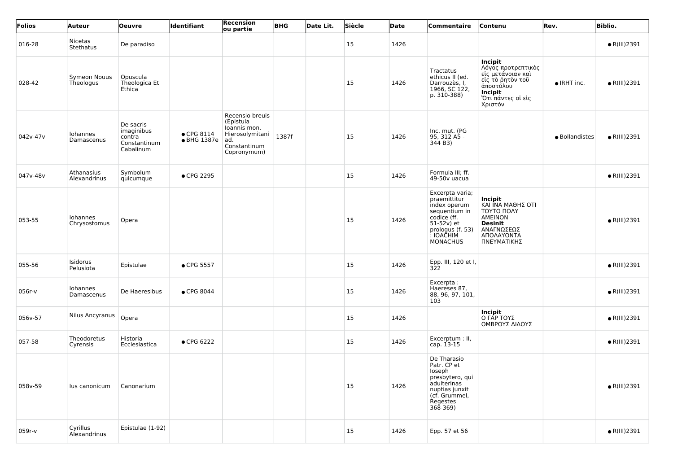| Folios   | Auteur                     | <b>Oeuvre</b>                                                  | ldentifiant                               | Recension<br>ou partie                                                                                | <b>BHG</b> | Date Lit. | Siècle        | Date | Commentaire                                                                                                                                          | Contenu                                                                                                                                 | Rev.                | <b>Biblio.</b>       |
|----------|----------------------------|----------------------------------------------------------------|-------------------------------------------|-------------------------------------------------------------------------------------------------------|------------|-----------|---------------|------|------------------------------------------------------------------------------------------------------------------------------------------------------|-----------------------------------------------------------------------------------------------------------------------------------------|---------------------|----------------------|
| 016-28   | Nicetas<br>Stethatus       | De paradiso                                                    |                                           |                                                                                                       |            |           | 15            | 1426 |                                                                                                                                                      |                                                                                                                                         |                     | $\bullet$ R(III)2391 |
| 028-42   | Symeon Nouus<br>Theologus  | Opuscula<br>Theologica Et<br>Ethica                            |                                           |                                                                                                       |            |           | 15            | 1426 | Tractatus<br>ethicus II (ed.<br>Darrouzès, I,<br>1966, SC 122,<br>p. 310-388)                                                                        | Incipit<br>Λόγος προτρεπτικὸς<br>∣ εἰς μετάνοιαν καὶ<br>είς τὸ ρητὸν τοῦ<br>άποστόλου<br>Incipit<br>Ότι πάντες οί είς<br>Χριστόν        | $\bullet$ IRHT inc. | $\bullet$ R(III)2391 |
| 042v-47v | Iohannes<br>Damascenus     | De sacris<br>imaginibus<br>contra<br>Constantinum<br>Cabalinum | $\bullet$ CPG 8114<br>$\bullet$ BHG 1387e | Recensio breuis<br>(Epistula<br>loannis mon.<br>Hierosolymitani<br>ad.<br>Constantinum<br>Copronymum) | 1387f      |           | 15            | 1426 | Inc. mut. (PG<br>95, 312 A5 -<br>344 B3)                                                                                                             |                                                                                                                                         | · Bollandistes      | $\bullet$ R(III)2391 |
| 047v-48v | Athanasius<br>Alexandrinus | Symbolum<br>quicumque                                          | • CPG 2295                                |                                                                                                       |            |           | 15            | 1426 | Formula III; ff.<br>49-50v uacua                                                                                                                     |                                                                                                                                         |                     | $\bullet$ R(III)2391 |
| 053-55   | Iohannes<br>Chrysostomus   | Opera                                                          |                                           |                                                                                                       |            |           | 15            | 1426 | Excerpta varia;<br>praemittitur<br>index operum<br>sequentium in<br>codice (ff.<br>$51-52v$ ) et<br>prologus (f. 53)<br>: IOACHIM<br><b>MONACHUS</b> | Incipit<br><b>KAI ÎNA MAΘHΣ OTI</b><br><b>TOYTO ΠΟΛΥ</b><br><b>AMEINON</b><br><b>Desinit</b><br>ΑΝΑΓΝΩΣΕΩΣ<br>ΑΠΟΛΑΥΟΝΤΑ<br>ΠΝΕΥΜΑΤΙΚΗΣ |                     | $\bullet$ R(III)2391 |
| 055-56   | Isidorus<br>Pelusiota      | Epistulae                                                      | • CPG 5557                                |                                                                                                       |            |           | 15            | 1426 | Epp. III, 120 et I,<br>322                                                                                                                           |                                                                                                                                         |                     | $\bullet$ R(III)2391 |
| 056r-v   | Iohannes<br>Damascenus     | De Haeresibus                                                  | • CPG 8044                                |                                                                                                       |            |           | 15            | 1426 | Excerpta:<br>Haereses 87,<br>88, 96, 97, 101,<br>103                                                                                                 |                                                                                                                                         |                     | $\bullet$ R(III)2391 |
| 056v-57  | Nilus Ancyranus            | Opera                                                          |                                           |                                                                                                       |            |           | 15            | 1426 |                                                                                                                                                      | <b>Incipit</b><br>O ΓΑΡ ΤΟΥΣ<br>ΟΜΒΡΟΥΣ ΔΙΔΟΥΣ                                                                                          |                     | $\bullet$ R(III)2391 |
| 057-58   | Theodoretus<br>Cyrensis    | Historia<br>Ecclesiastica                                      | • CPG 6222                                |                                                                                                       |            |           | 15            | 1426 | Excerptum : II,<br>cap. 13-15                                                                                                                        |                                                                                                                                         |                     | $\bullet$ R(III)2391 |
| 058v-59  | lus canonicum              | Canonarium                                                     |                                           |                                                                                                       |            |           | 15            | 1426 | De Tharasio<br>Patr. CP et<br>loseph<br>presbytero, qui<br>adulterinas<br>nuptias junxit<br>(cf. Grummel,<br>Regestes<br>$368 - 369$                 |                                                                                                                                         |                     | $\bullet$ R(III)2391 |
| 059r-v   | Cyrillus<br>Alexandrinus   | Epistulae (1-92)                                               |                                           |                                                                                                       |            |           | <sup>15</sup> | 1426 | Epp. 57 et 56                                                                                                                                        |                                                                                                                                         |                     | $\bullet$ R(III)2391 |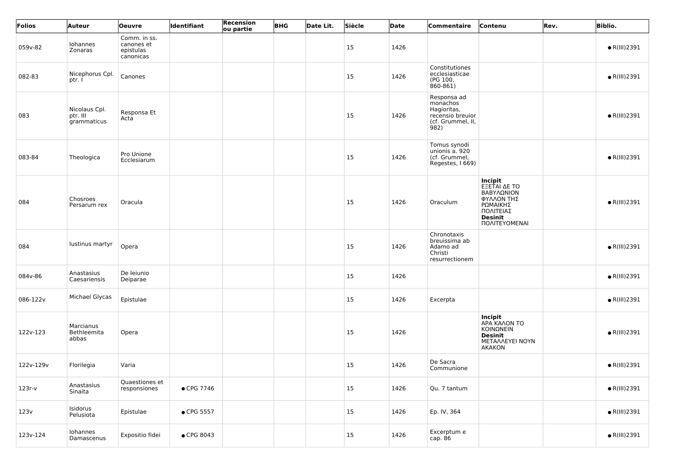| Folios    | Auteur                                   | <b>Oeuvre</b>                                        | <b>Identifiant</b> | <b>Recension</b><br>ou partie | <b>BHG</b> | Date Lit. | Siècle | Date | Commentaire                                                                             | Contenu                                                                                                         | Rev. | <b>Biblio.</b>       |
|-----------|------------------------------------------|------------------------------------------------------|--------------------|-------------------------------|------------|-----------|--------|------|-----------------------------------------------------------------------------------------|-----------------------------------------------------------------------------------------------------------------|------|----------------------|
| 059v-82   | Iohannes<br>Zonaras                      | Comm. in ss.<br>canones et<br>epistulas<br>canonicas |                    |                               |            |           | 15     | 1426 |                                                                                         |                                                                                                                 |      | $\bullet$ R(III)2391 |
| 082-83    | Nicephorus Cpl.<br>ptr. l                | Canones                                              |                    |                               |            |           | 15     | 1426 | Constitutiones<br>ecclesiasticae<br>(PG 100,<br>860-861)                                |                                                                                                                 |      | $\bullet$ R(III)2391 |
| 083       | Nicolaus Cpl.<br>ptr. III<br>grammaticus | Responsa Et<br>Acta                                  |                    |                               |            |           | 15     | 1426 | Responsa ad<br>monachos<br>Hagioritas,<br>recensio breuior<br>(cf. Grummel, II,<br>982) |                                                                                                                 |      | $\bullet$ R(III)2391 |
| 083-84    | Theologica                               | Pro Unione<br>Ecclesiarum                            |                    |                               |            |           | 15     | 1426 | Tomus synodi<br>unionis a. 920<br>(cf. Grummel,<br>Regestes, I 669)                     |                                                                                                                 |      | $\bullet$ R(III)2391 |
| 084       | Chosroes<br>Persarum rex                 | Oracula                                              |                    |                               |            |           | 15     | 1426 | Oraculum                                                                                | Incipit<br>EEETAI AE TO<br>ΒΑΒΥΛΩΝΙΟΝ<br>ΦΥΛΛΟΝ ΤΗΣ<br>ΡΩΜΑΙΚΗΣ<br>ΠΟΛΙΤΕΙΑΣ<br><b>Desinit</b><br>ΠΟΛΙΤΕΥΟΜΕΝΑΙ |      | $\bullet$ R(III)2391 |
| 084       | lustinus martyr                          | Opera                                                |                    |                               |            |           | 15     | 1426 | Chronotaxis<br>breuissima ab<br>Adamo ad<br>Christi<br>resurrectionem                   |                                                                                                                 |      | $\bullet$ R(III)2391 |
| 084v-86   | Anastasius<br>Caesariensis               | De leiunio<br>Deiparae                               |                    |                               |            |           | 15     | 1426 |                                                                                         |                                                                                                                 |      | $\bullet$ R(III)2391 |
| 086-122v  | Michael Glycas                           | Epistulae                                            |                    |                               |            |           | 15     | 1426 | Excerpta                                                                                |                                                                                                                 |      | $\bullet$ R(III)2391 |
| 122v-123  | Marcianus<br>Bethleemita<br>abbas        | Opera                                                |                    |                               |            |           | 15     | 1426 |                                                                                         | <b>Incipit</b><br>APA KAAON TO<br>ΚΟΙΝΩΝΕΙΝ<br><b>Desinit</b><br>METAAAEYEI NOYN<br>AKAKON                      |      | $\bullet$ R(III)2391 |
| 122v-129v | Florilegia                               | Varia                                                |                    |                               |            |           | 15     | 1426 | De Sacra<br>Communione                                                                  |                                                                                                                 |      | $\bullet$ R(III)2391 |
| $123r-v$  | Anastasius<br>Sinaita                    | Quaestiones et<br>responsiones                       | • CPG 7746         |                               |            |           | 15     | 1426 | Qu. 7 tantum                                                                            |                                                                                                                 |      | $\bullet$ R(III)2391 |
| 123v      | Isidorus<br>Pelusiota                    | Epistulae                                            | • CPG 5557         |                               |            |           | 15     | 1426 | Ep. IV, 364                                                                             |                                                                                                                 |      | $\bullet$ R(III)2391 |
| 123v-124  | Iohannes<br>Damascenus                   | Expositio fidei                                      | • CPG 8043         |                               |            |           | 15     | 1426 | Excerptum e<br>cap. 86                                                                  |                                                                                                                 |      | $\bullet$ R(III)2391 |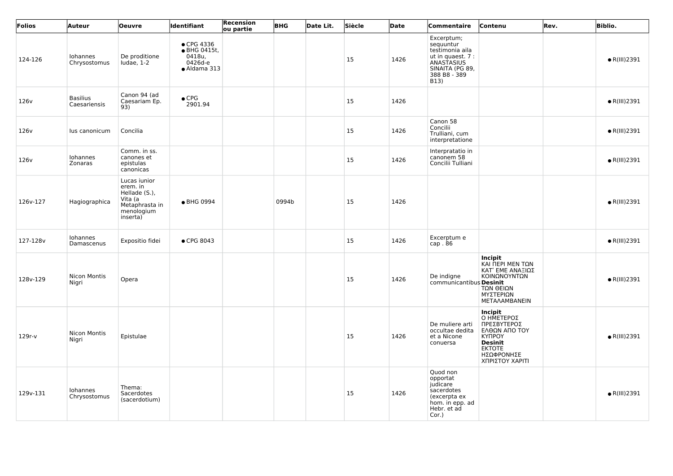| Folios           | Auteur                          | <b>Oeuvre</b>                                                                                    | Identifiant                                                     | Recension<br>ou partie | <b>BHG</b> | Date Lit. | Siècle | Date | Commentaire                                                                                                              | Contenu                                                                                                                                           | Rev. | <b>Biblio.</b>       |
|------------------|---------------------------------|--------------------------------------------------------------------------------------------------|-----------------------------------------------------------------|------------------------|------------|-----------|--------|------|--------------------------------------------------------------------------------------------------------------------------|---------------------------------------------------------------------------------------------------------------------------------------------------|------|----------------------|
| 124-126          | Iohannes<br>Chrysostomus        | De proditione<br>$l$ udae, $1-2$                                                                 | • CPG 4336<br>● BHG 0415t,<br>0418u,<br>0426d-e<br>• Aldama 313 |                        |            |           | 15     | 1426 | Excerptum;<br>sequuntur<br>testimonia aila<br>ut in quaest. 7 :<br>ANASTASIUS<br>SINAITA (PG 89,<br>388 B8 - 389<br>B13) |                                                                                                                                                   |      | $\bullet$ R(III)2391 |
| 126 <sub>v</sub> | <b>Basilius</b><br>Caesariensis | Canon 94 (ad<br>Caesariam Ep.<br>93)                                                             | $\bullet$ CPG<br>2901.94                                        |                        |            |           | 15     | 1426 |                                                                                                                          |                                                                                                                                                   |      | $\bullet$ R(III)2391 |
| 126 <sub>v</sub> | lus canonicum                   | Concilia                                                                                         |                                                                 |                        |            |           | 15     | 1426 | Canon 58<br>Concilii<br>Trulliani, cum<br>interpretatione                                                                |                                                                                                                                                   |      | $\bullet$ R(III)2391 |
| 126 <sub>v</sub> | Iohannes<br>Zonaras             | Comm. in ss.<br>canones et<br>epistulas<br>canonicas                                             |                                                                 |                        |            |           | 15     | 1426 | Interpratatio in<br>canonem 58<br>Concilii Tulliani                                                                      |                                                                                                                                                   |      | $\bullet$ R(III)2391 |
| 126v-127         | Hagiographica                   | Lucas iunior<br>erem. in<br>Hellade (S.),<br>Vita (a<br>Metaphrasta in<br>menologium<br>inserta) | ● BHG 0994                                                      |                        | 0994b      |           | 15     | 1426 |                                                                                                                          |                                                                                                                                                   |      | $\bullet$ R(III)2391 |
| 127-128v         | Iohannes<br>Damascenus          | Expositio fidei                                                                                  | • CPG 8043                                                      |                        |            |           | 15     | 1426 | Excerptum e<br>cap.86                                                                                                    |                                                                                                                                                   |      | $\bullet$ R(III)2391 |
| 128v-129         | Nicon Montis<br>Nigri           | Opera                                                                                            |                                                                 |                        |            |           | 15     | 1426 | De indigne<br>communicantibus Desinit                                                                                    | <b>Incipit</b><br>ΚΑΙ ΠΕΡΙ ΜΕΝ ΤΩΝ<br>ΚΑΤ' ΕΜΕ ΑΝΑΞΙΩΣ<br>ΚΟΙΝΩΝΟΥΝΤΩΝ<br>ΤΩΝ ΘΕΙΩΝ<br>ΜΥΣΤΕΡΙΩΝ<br>METAΛΑΜΒΑΝΕΙΝ                                 |      | $\bullet$ R(III)2391 |
| $129r-v$         | Nicon Montis<br>Nigri           | Epistulae                                                                                        |                                                                 |                        |            |           | 15     | 1426 | De muliere arti<br>occultae dedita<br>et a Nicone<br>conuersa                                                            | <b>Incipit</b><br>O HMETEPOΣ<br>ΠΡΕΣΒΥΤΕΡΟΣ<br>ΕΛΘΩΝ ΑΠΟ ΤΟΥ<br><b>KYNPOY</b><br><b>Desinit</b><br><b>EKTOTE</b><br>ΗΣΩΦΡΟΝΗΣΕ<br>ΧΠΡΙΣΤΟΥ ΧΑΡΙΤΙ |      | $\bullet$ R(III)2391 |
| 129v-131         | Iohannes<br>Chrysostomus        | Thema:<br>Sacerdotes<br>(sacerdotium)                                                            |                                                                 |                        |            |           | 15     | 1426 | Quod non<br>opportat<br>judicare<br>sacerdotes<br>(excerpta ex<br>hom. in epp. ad<br>Hebr. et ad<br>Cor.)                |                                                                                                                                                   |      | $\bullet$ R(III)2391 |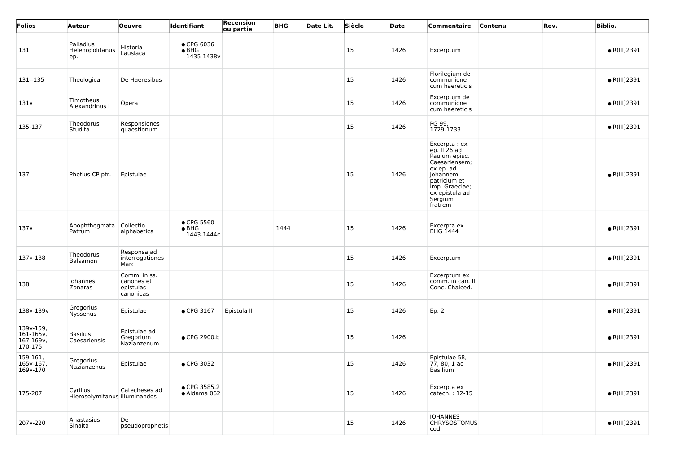| Folios                                         | Auteur                                    | <b>Oeuvre</b>                                        | Identifiant                                       | <b>Recension</b><br>ou partie | <b>BHG</b> | Date Lit. | Siècle        | Date | Commentaire                                                                                                                                                          | <b>Contenu</b> | Rev. | <b>Biblio.</b>       |
|------------------------------------------------|-------------------------------------------|------------------------------------------------------|---------------------------------------------------|-------------------------------|------------|-----------|---------------|------|----------------------------------------------------------------------------------------------------------------------------------------------------------------------|----------------|------|----------------------|
| 131                                            | Palladius<br>Helenopolitanus<br>ep.       | Historia<br>Lausiaca                                 | $\bullet$ CPG 6036<br>$\bullet$ BHG<br>1435-1438v |                               |            |           | 15            | 1426 | Excerptum                                                                                                                                                            |                |      | $\bullet$ R(III)2391 |
| 131--135                                       | Theologica                                | De Haeresibus                                        |                                                   |                               |            |           | 15            | 1426 | Florilegium de<br>communione<br>cum haereticis                                                                                                                       |                |      | $\bullet$ R(III)2391 |
| 131v                                           | Timotheus<br>Alexandrinus I               | Opera                                                |                                                   |                               |            |           | <sup>15</sup> | 1426 | Excerptum de<br>communione<br>cum haereticis                                                                                                                         |                |      | $\bullet$ R(III)2391 |
| 135-137                                        | Theodorus<br>Studita                      | Responsiones<br>quaestionum                          |                                                   |                               |            |           | <sup>15</sup> | 1426 | PG 99,<br>1729-1733                                                                                                                                                  |                |      | $\bullet$ R(III)2391 |
| 137                                            | Photius CP ptr.                           | Epistulae                                            |                                                   |                               |            |           | 15            | 1426 | Excerpta : ex<br>ep. II $26$ ad<br>Paulum episc.<br>Caesariensem;<br>ex ep. ad<br>Johannem<br>patricium et<br>imp. Graeciae;<br>ex epistula ad<br>Sergium<br>fratrem |                |      | $\bullet$ R(III)2391 |
| 137v                                           | Apophthegmata<br>Patrum                   | Collectio<br>alphabetica                             | $\bullet$ CPG 5560<br>$\bullet$ BHG<br>1443-1444c |                               | 1444       |           | <sup>15</sup> | 1426 | Excerpta ex<br><b>BHG 1444</b>                                                                                                                                       |                |      | $\bullet$ R(III)2391 |
| 137v-138                                       | Theodorus<br>Balsamon                     | Responsa ad<br>interrogationes<br>Marci              |                                                   |                               |            |           | 15            | 1426 | Excerptum                                                                                                                                                            |                |      | $\bullet$ R(III)2391 |
| 138                                            | Iohannes<br>Zonaras                       | Comm. in ss.<br>canones et<br>epistulas<br>canonicas |                                                   |                               |            |           | 15            | 1426 | Excerptum ex<br>comm. in can. II<br>Conc. Chalced.                                                                                                                   |                |      | $\bullet$ R(III)2391 |
| 138v-139v                                      | Gregorius<br>Nyssenus                     | Epistulae                                            | • CPG 3167                                        | Epistula II                   |            |           | 15            | 1426 | Ep. 2                                                                                                                                                                |                |      | $\bullet$ R(III)2391 |
| 139v-159,<br>161-165v,<br>167-169v,<br>170-175 | <b>Basilius</b><br>Caesariensis           | Epistulae ad<br>Gregorium<br>Nazianzenum             | ● CPG 2900.b                                      |                               |            |           | <sup>15</sup> | 1426 |                                                                                                                                                                      |                |      | $\bullet$ R(III)2391 |
| 159-161,<br>165v-167,<br>169v-170              | Gregorius<br>Nazianzenus                  | Epistulae                                            | • CPG 3032                                        |                               |            |           | 15            | 1426 | Epistulae 58,<br>77, 80, 1 ad<br>Basilium                                                                                                                            |                |      | $\bullet$ R(III)2391 |
| 175-207                                        | Cyrillus<br>Hierosolymitanus illuminandos | Catecheses ad                                        | ● CPG 3585.2<br>· Aldama 062                      |                               |            |           | <sup>15</sup> | 1426 | Excerpta ex<br>catech.: 12-15                                                                                                                                        |                |      | $\bullet$ R(III)2391 |
| 207v-220                                       | Anastasius<br>Sinaita                     | De<br>pseudoprophetis                                |                                                   |                               |            |           | <sup>15</sup> | 1426 | <b>IOHANNES</b><br><b>CHRYSOSTOMUS</b><br>cod.                                                                                                                       |                |      | $\bullet$ R(III)2391 |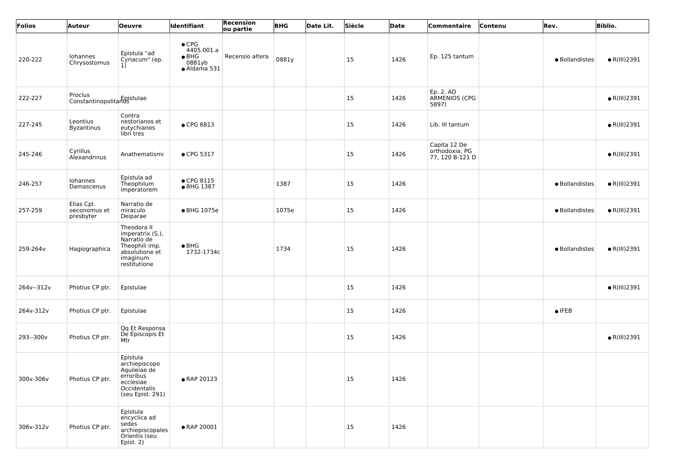| Folios     | <b>Auteur</b>                           | <b>Oeuvre</b>                                                                                                  | <b>Identifiant</b>                                                     | Recension<br>ou partie | <b>BHG</b> | Date Lit. | Siècle        | Date | <b>Commentaire</b>                                | Contenu | Rev.           | <b>Biblio.</b>       |
|------------|-----------------------------------------|----------------------------------------------------------------------------------------------------------------|------------------------------------------------------------------------|------------------------|------------|-----------|---------------|------|---------------------------------------------------|---------|----------------|----------------------|
| 220-222    | Iohannes<br>Chrysostomus                | Epistula "ad<br>Cyriacum" (ep.<br>1)                                                                           | $\bullet$ CPG<br>4405.001.a<br>$\bullet$ BHG<br>0881yb<br>• Aldama 531 | Recensio altera        | 0881y      |           | <sup>15</sup> | 1426 | Ep. 125 tantum                                    |         | · Bollandistes | $\bullet$ R(III)2391 |
| 222-227    | Proclus<br>Constantinopolitanus         |                                                                                                                |                                                                        |                        |            |           | 15            | 1426 | Ep. 2. AD<br>ARMENIOS (CPG<br>5897)               |         |                | $\bullet$ R(III)2391 |
| 227-245    | Leontius<br><b>Byzantinus</b>           | Contra<br>nestorianos et<br>eutychianos<br>libri tres                                                          | ● CPG 6813                                                             |                        |            |           | <sup>15</sup> | 1426 | Lib. III tantum                                   |         |                | $\bullet$ R(III)2391 |
| 245-246    | Cyrillus<br>Alexandrinus                | Anathematismi                                                                                                  | • CPG 5317                                                             |                        |            |           | <sup>15</sup> | 1426 | Capita 12 De<br>orthodoxia; PG<br>77, 120 B-121 D |         |                | $\bullet$ R(III)2391 |
| 246-257    | Iohannes<br>Damascenus                  | Epistula ad<br>Theophilum<br>imperatorem                                                                       | $\bullet$ CPG 8115<br>• BHG 1387                                       |                        | 1387       |           | <sup>15</sup> | 1426 |                                                   |         | · Bollandistes | $\bullet$ R(III)2391 |
| 257-259    | Elias Cpl.<br>oeconomus et<br>presbyter | Narratio de<br>miraculo<br>Deiparae                                                                            | • BHG 1075e                                                            |                        | 1075e      |           | <sup>15</sup> | 1426 |                                                   |         | · Bollandistes | $\bullet$ R(III)2391 |
| 259-264v   | Hagiographica                           | Theodora II<br>imperatrix (S.),<br>Narratio de<br>Theophili imp.<br>absolutione et<br>imaginum<br>restitutione | $\bullet$ BHG<br>1732-1734c                                            |                        | 1734       |           | <sup>15</sup> | 1426 |                                                   |         | · Bollandistes | $\bullet$ R(III)2391 |
| 264v--312v | Photius CP ptr.                         | Epistulae                                                                                                      |                                                                        |                        |            |           | <sup>15</sup> | 1426 |                                                   |         |                | $\bullet$ R(III)2391 |
| 264v-312v  | Photius CP ptr.                         | Epistulae                                                                                                      |                                                                        |                        |            |           | <sup>15</sup> | 1426 |                                                   |         | $\bullet$ IFEB |                      |
| 293--300v  | Photius CP ptr.                         | Qq Et Responsa<br>De Episcopis Et<br>Mtr                                                                       |                                                                        |                        |            |           | <sup>15</sup> | 1426 |                                                   |         |                | $\bullet$ R(III)2391 |
| 300v-306v  | Photius CP ptr.                         | Epistula<br>archiepiscopo<br>Aquileiae de<br>erroribus<br>ecclesiae<br>Occidentalis<br>(seu Epist. 291)        | • RAP 20123                                                            |                        |            |           | 15            | 1426 |                                                   |         |                |                      |
| 306v-312v  | Photius CP ptr.                         | Epistula<br>encyclica ad<br>sedes<br>archiepiscopales<br>Orientis (seu<br>Epist. 2)                            | • RAP 20001                                                            |                        |            |           | <sup>15</sup> | 1426 |                                                   |         |                |                      |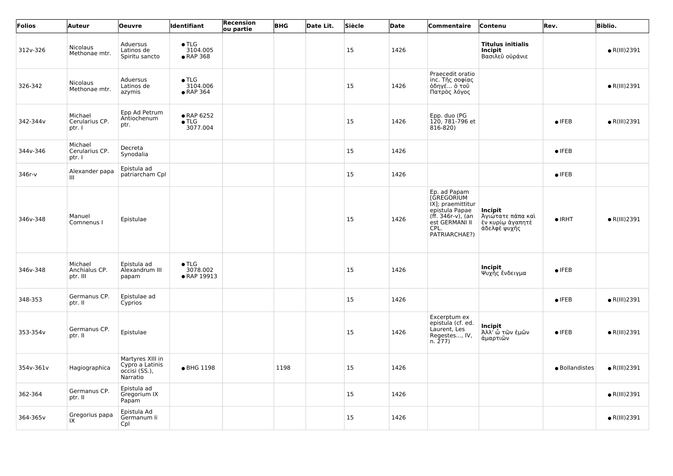| Folios    | Auteur                               | <b>Oeuvre</b>                                                    | Identifiant                              | Recension<br>ou partie | <b>BHG</b> | Date Lit. | Siècle    | Date | Commentaire                                                                                                                       | Contenu                                                          | Rev.           | <b>Biblio.</b>       |
|-----------|--------------------------------------|------------------------------------------------------------------|------------------------------------------|------------------------|------------|-----------|-----------|------|-----------------------------------------------------------------------------------------------------------------------------------|------------------------------------------------------------------|----------------|----------------------|
| 312v-326  | <b>Nicolaus</b><br>Methonae mtr.     | Aduersus<br>Latinos de<br>Spiritu sancto                         | $\bullet$ TLG<br>3104.005<br>• RAP 368   |                        |            |           | 15        | 1426 |                                                                                                                                   | <b>Titulus initialis</b><br>Incipit<br>Βασιλεῦ οὐράνιε           |                | $\bullet$ R(III)2391 |
| 326-342   | <b>Nicolaus</b><br>Methonae mtr.     | Aduersus<br>Latinos de<br>azymis                                 | $\bullet$ TLG<br>3104.006<br>• RAP 364   |                        |            |           | 15        | 1426 | Praecedit oratio<br>inc. Τῆς σοφίας<br>όδηγέ ό τοῦ<br>Πατρὸς λόγος                                                                |                                                                  |                | $\bullet$ R(III)2391 |
| 342-344v  | Michael<br>Cerularius CP.<br>ptr. I  | Epp Ad Petrum<br>Antiochenum<br>ptr.                             | • RAP 6252<br>$\bullet$ TLG<br>3077.004  |                        |            |           | 15        | 1426 | Epp. duo (PG<br>120, 781-796 et<br>816-820)                                                                                       |                                                                  | $\bullet$ IFEB | $\bullet$ R(III)2391 |
| 344v-346  | Michael<br>Cerularius CP.<br>ptr. I  | Decreta<br>Synodalia                                             |                                          |                        |            |           | 15        | 1426 |                                                                                                                                   |                                                                  | $\bullet$ IFEB |                      |
| 346r-v    | Alexander papa<br>Ш                  | Epistula ad<br>patriarcham Cpl                                   |                                          |                        |            |           | 15        | 1426 |                                                                                                                                   |                                                                  | $\bullet$ IFEB |                      |
| 346v-348  | Manuel<br>Comnenus I                 | Epistulae                                                        |                                          |                        |            |           | 15        | 1426 | Ep. ad Papam<br>[GREGORIUM<br>IX]; praemittitur<br>epistula Papae<br>(ff. 346r-v), (an<br>est GERMANI II<br>CPL.<br>PATRIARCHAE?) | Incipit<br>Άγιώτατε πάπα καὶ<br>έν κυρίω άγαπητὲ<br>άδελφὲ ψυχῆς | $\bullet$ IRHT | $\bullet$ R(III)2391 |
| 346v-348  | Michael<br>Anchialus CP.<br>ptr. III | Epistula ad<br>Alexandrum III<br>papam                           | $\bullet$ TLG<br>3078.002<br>• RAP 19913 |                        |            |           | <b>15</b> | 1426 |                                                                                                                                   | Incipit<br>Ψυχῆς ἔνδειγμα                                        | $\bullet$ IFEB |                      |
| 348-353   | Germanus CP.<br>ptr. II              | Epistulae ad<br>Cyprios                                          |                                          |                        |            |           | 15        | 1426 |                                                                                                                                   |                                                                  | $\bullet$ IFEB | $\bullet$ R(III)2391 |
| 353-354v  | Germanus CP.<br>ptr. II              | Epistulae                                                        |                                          |                        |            |           | 15        | 1426 | Excerptum ex<br>epistula (cf. ed.<br>Laurent, Les<br>Regestes, IV,<br>n. 277)                                                     | Incipit<br>Άλλ' ὦ τῶν ἐμῶν<br>ἀμαρτιῶν                           | $\bullet$ IFEB | $\bullet$ R(III)2391 |
| 354v-361v | Hagiographica                        | Martyres XIII in<br>Cypro a Latinis<br>occisi (SS.),<br>Narratio | • BHG 1198                               |                        | 1198       |           | 15        | 1426 |                                                                                                                                   |                                                                  | · Bollandistes | $\bullet$ R(III)2391 |
| 362-364   | Germanus CP.<br>ptr. II              | Epistula ad<br>Gregorium IX<br>Papam                             |                                          |                        |            |           | 15        | 1426 |                                                                                                                                   |                                                                  |                | $\bullet$ R(III)2391 |
| 364-365v  | Gregorius papa<br>IX                 | Epistula Ad<br>Germanum li<br>Cpl                                |                                          |                        |            |           | 15        | 1426 |                                                                                                                                   |                                                                  |                | $\bullet$ R(III)2391 |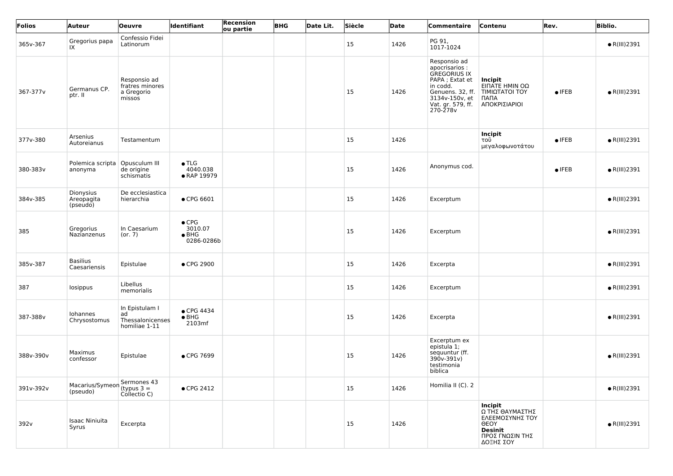| Folios    | <b>Auteur</b>                       | <b>Oeuvre</b>                                             | ldentifiant                                             | Recension<br>ou partie | <b>BHG</b> | Date Lit. | Siècle | Date | Commentaire                                                                                                                                                 | Contenu                                                                                                               | Rev.           | <b>Biblio.</b>       |
|-----------|-------------------------------------|-----------------------------------------------------------|---------------------------------------------------------|------------------------|------------|-----------|--------|------|-------------------------------------------------------------------------------------------------------------------------------------------------------------|-----------------------------------------------------------------------------------------------------------------------|----------------|----------------------|
| 365v-367  | Gregorius papa<br>IX                | Confessio Fidei<br>Latinorum                              |                                                         |                        |            |           | 15     | 1426 | PG 91,<br>1017-1024                                                                                                                                         |                                                                                                                       |                | $\bullet$ R(III)2391 |
| 367-377v  | Germanus CP.<br>ptr. II             | Responsio ad<br>fratres minores<br>a Gregorio<br>missos   |                                                         |                        |            |           | 15     | 1426 | Responsio ad<br>apocrisarios :<br><b>GREGORIUS IX</b><br>PAPA ; Extat et<br>in codd.<br>Genuens. 32, ff.<br>3134v-150v, et<br>Vat. gr. 579, ff.<br>270-278v | Incipit<br>ΕΙΠΑΤΕ ΗΜΙΝ ΟΩ<br>ΤΙΜΙΩΤΑΤΟΙ ΤΟΥ<br>ПАПА<br>ΑΠΟΚΡΙΣΙΑΡΙΟΙ                                                  | $\bullet$ IFEB | $\bullet$ R(III)2391 |
| 377v-380  | Arsenius<br>Autoreianus             | Testamentum                                               |                                                         |                        |            |           | 15     | 1426 |                                                                                                                                                             | Incipit<br>τοῦ<br>μεγαλοφωνοτάτου                                                                                     | $\bullet$ IFEB | $\bullet$ R(III)2391 |
| 380-383v  | Polemica scripta<br>anonyma         | Opusculum III<br>de origine<br>schismatis                 | $\bullet$ TLG<br>4040.038<br>• RAP 19979                |                        |            |           | 15     | 1426 | Anonymus cod.                                                                                                                                               |                                                                                                                       | $\bullet$ IFEB | $\bullet$ R(III)2391 |
| 384v-385  | Dionysius<br>Areopagita<br>(pseudo) | De ecclesiastica<br>hierarchia                            | $\bullet$ CPG 6601                                      |                        |            |           | 15     | 1426 | Excerptum                                                                                                                                                   |                                                                                                                       |                | $\bullet$ R(III)2391 |
| 385       | Gregorius<br>Nazianzenus            | In Caesarium<br>(or. 7)                                   | $\bullet$ CPG<br>3010.07<br>$\bullet$ BHG<br>0286-0286b |                        |            |           | 15     | 1426 | Excerptum                                                                                                                                                   |                                                                                                                       |                | $\bullet$ R(III)2391 |
| 385v-387  | <b>Basilius</b><br>Caesariensis     | Epistulae                                                 | ● CPG 2900                                              |                        |            |           | 15     | 1426 | Excerpta                                                                                                                                                    |                                                                                                                       |                | $\bullet$ R(III)2391 |
| 387       | losippus                            | Libellus<br>memorialis                                    |                                                         |                        |            |           | 15     | 1426 | Excerptum                                                                                                                                                   |                                                                                                                       |                | $\bullet$ R(III)2391 |
| 387-388v  | Iohannes<br>Chrysostomus            | In Epistulam I<br>ad<br>Thessalonicenses<br>homiliae 1-11 | ● CPG 4434<br>$\bullet$ BHG<br>2103mf                   |                        |            |           | 15     | 1426 | Excerpta                                                                                                                                                    |                                                                                                                       |                | $\bullet$ R(III)2391 |
| 388v-390v | Maximus<br>confessor                | Epistulae                                                 | • CPG 7699                                              |                        |            |           | 15     | 1426 | Excerptum ex<br>epistula 1;<br>sequuntur (ff.<br>$390v-391v)$<br>testimonia<br>biblica                                                                      |                                                                                                                       |                | $\bullet$ R(III)2391 |
| 391v-392v | Macarius/Symeon<br>(pseudo)         | Sermones 43<br>'(typus $3 =$<br>Collectio C)              | • CPG 2412                                              |                        |            |           | 15     | 1426 | Homilia II (C). 2                                                                                                                                           |                                                                                                                       |                | $\bullet$ R(III)2391 |
| 392v      | <b>Isaac Niniuita</b><br>Syrus      | Excerpta                                                  |                                                         |                        |            |           | 15     | 1426 |                                                                                                                                                             | <b>Incipit</b><br>Ω ΤΗΣ ΘΑΥΜΑΣΤΗΣ<br>ΕΛΕΕΜΟΣΥΝΗΣ ΤΟΥ<br><b>OEOY</b><br><b>Desinit</b><br>ΠΡΟΣ ΓΝΩΣΙΝ ΤΗΣ<br>ΔΟΞΗΣ ΣΟΥ |                | $\bullet$ R(III)2391 |